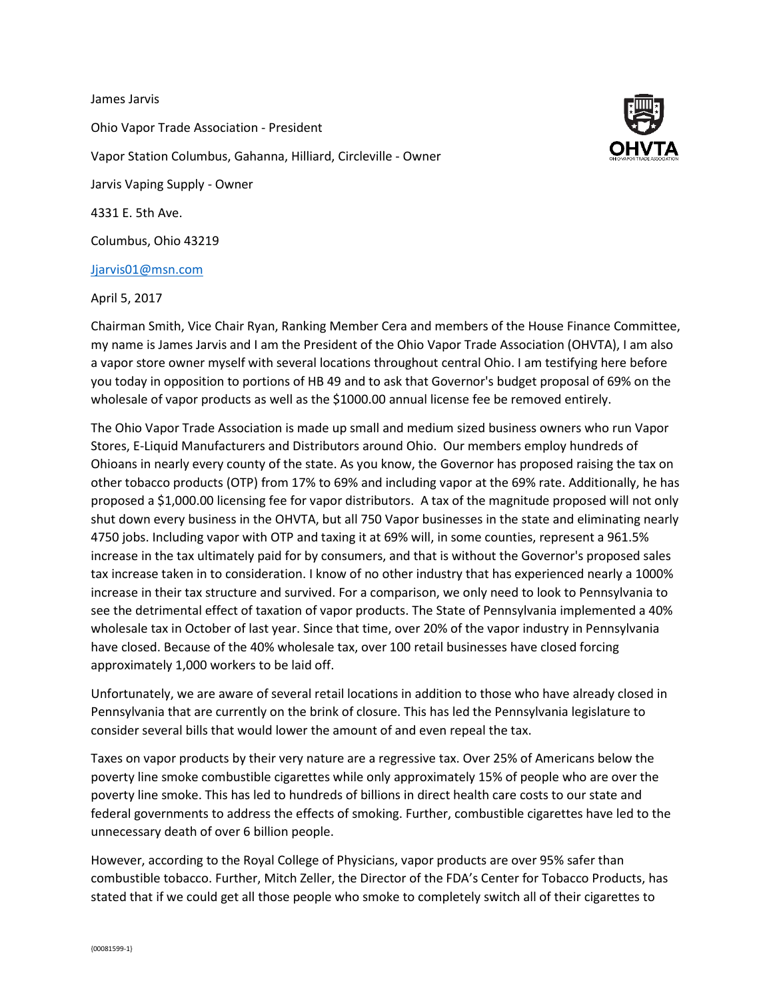## James Jarvis

Ohio Vapor Trade Association - President Vapor Station Columbus, Gahanna, Hilliard, Circleville - Owner Jarvis Vaping Supply - Owner 4331 E. 5th Ave. Columbus, Ohio 43219

## [Jjarvis01@msn.com](mailto:Jjarvis01@msn.com)

April 5, 2017



The Ohio Vapor Trade Association is made up small and medium sized business owners who run Vapor Stores, E-Liquid Manufacturers and Distributors around Ohio. Our members employ hundreds of Ohioans in nearly every county of the state. As you know, the Governor has proposed raising the tax on other tobacco products (OTP) from 17% to 69% and including vapor at the 69% rate. Additionally, he has proposed a \$1,000.00 licensing fee for vapor distributors. A tax of the magnitude proposed will not only shut down every business in the OHVTA, but all 750 Vapor businesses in the state and eliminating nearly 4750 jobs. Including vapor with OTP and taxing it at 69% will, in some counties, represent a 961.5% increase in the tax ultimately paid for by consumers, and that is without the Governor's proposed sales tax increase taken in to consideration. I know of no other industry that has experienced nearly a 1000% increase in their tax structure and survived. For a comparison, we only need to look to Pennsylvania to see the detrimental effect of taxation of vapor products. The State of Pennsylvania implemented a 40% wholesale tax in October of last year. Since that time, over 20% of the vapor industry in Pennsylvania have closed. Because of the 40% wholesale tax, over 100 retail businesses have closed forcing approximately 1,000 workers to be laid off.

Unfortunately, we are aware of several retail locations in addition to those who have already closed in Pennsylvania that are currently on the brink of closure. This has led the Pennsylvania legislature to consider several bills that would lower the amount of and even repeal the tax.

Taxes on vapor products by their very nature are a regressive tax. Over 25% of Americans below the poverty line smoke combustible cigarettes while only approximately 15% of people who are over the poverty line smoke. This has led to hundreds of billions in direct health care costs to our state and federal governments to address the effects of smoking. Further, combustible cigarettes have led to the unnecessary death of over 6 billion people.

However, according to the Royal College of Physicians, vapor products are over 95% safer than combustible tobacco. Further, Mitch Zeller, the Director of the FDA's Center for Tobacco Products, has stated that if we could get all those people who smoke to completely switch all of their cigarettes to